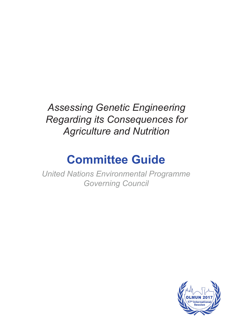## *Assessing Genetic Engineering Regarding its Consequences for Agriculture and Nutrition*

# **Committee Guide**

*United Nations Environmental Programme Governing Council*

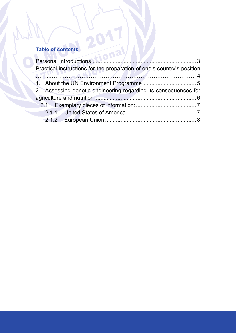## **Table of contents**

2

 $\sim$ 

| Practical instructions for the preparation of one's country's position |  |
|------------------------------------------------------------------------|--|
|                                                                        |  |
|                                                                        |  |
| 2. Assessing genetic engineering regarding its consequences for        |  |
|                                                                        |  |
|                                                                        |  |
|                                                                        |  |
|                                                                        |  |
|                                                                        |  |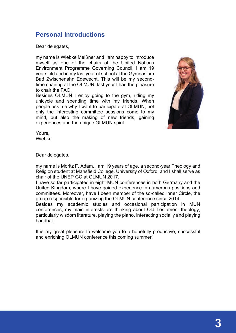## **Personal Introductions**

Dear delegates,

my name is Wiebke Meißner and I am happy to introduce myself as one of the chairs of the United Nations Environment Programme Governing Council. I am 19 years old and in my last year of school at the Gymnasium Bad Zwischenahn Edewecht. This will be my secondtime chairing at the OLMUN, last year I had the pleasure to chair the FAO.

Besides OLMUN I enjoy going to the gym, riding my unicycle and spending time with my friends. When people ask me why I want to participate at OLMUN, not only the interesting committee sessions come to my mind, but also the making of new friends, gaining experiences and the unique OLMUN spirit.



Yours, Wiebke

Dear delegates,

my name is Moritz F. Adam, I am 19 years of age, a second-year Theology and Religion student at Mansfield College, University of Oxford, and I shall serve as chair of the UNEP GC at OLMUN 2017.

I have so far participated in eight MUN conferences in both Germany and the United Kingdom, where I have gained experience in numerous positions and committees. Moreover, have I been member of the so-called Inner Circle, the group responsible for organizing the OLMUN conference since 2014.

Besides my academic studies and occasional participation in MUN conferences, my main interests are thinking about Old Testament theology, particularly wisdom literature, playing the piano, interacting socially and playing handball.

It is my great pleasure to welcome you to a hopefully productive, successful and enriching OLMUN conference this coming summer!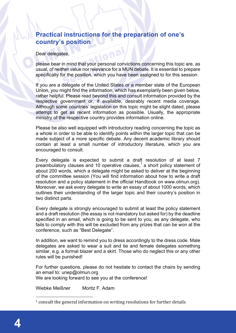### **Practical instructions for the preparation of one's country's position**

#### Dear delegates,

please bear in mind that your personal convictions concerning this topic are, as usual, of neither value nor relevance for a MUN debate. It is essential to prepare specifically for the position, which you have been assigned to for this session.

If you are a delegate of the United States or a member state of the European Union, you might find the information, which has exemplarily been given below, rather helpful. Please read beyond this and consult information provided by the respective government or, if available, desirably recent media coverage. Although some countries' legislation on this topic might be slight dated, please attempt to get as recent information as possible. Usually, the appropriate ministry of the respective country provides information online.

Please be also well equipped with introductory reading concerning the topic as a whole in order to be able to identify points within the larger topic that can be made subject of a more specific debate. Any decent academic library should contain at least a small number of introductory literature, which you are encouraged to consult.

Every delegate is expected to submit a draft resolution of at least 7 preambulatory clauses and 10 operative clauses, $<sup>1</sup>$  a short policy statement of</sup> about 200 words, which a delegate might be asked to deliver at the beginning of the committee session (You will find information about how to write a draft resolution and a policy statement in the official Handbook on www.olmun.org). Moreover, we ask every delegate to write an essay of about 1000 words, which outlines their understanding of the larger topic and their country's position in two distinct parts.

Every delegate is strongly encouraged to submit at least the policy statement and a draft resolution (the essay is not mandatory but asked for) by the deadline specified in an email, which is going to be sent to you, as any delegate, who fails to comply with this will be excluded from any prizes that can be won at the conference, such as "Best Delegate".

In addition, we want to remind you to dress accordingly to the dress code. Male delegates are asked to wear a suit and tie and female delegates something similar, e.g. a formal blazer and a skirt. Those who do neglect this or any other rules will be punished!

For further questions, please do not hesitate to contact the chairs by sending an email to: unep@olmun.org We are looking forward to see you at the conference!

Wiebke Meißner Moritz F. Adam

 $\overline{a}$ 

 $<sup>1</sup>$  consult the general information on writing resolutions for further details</sup>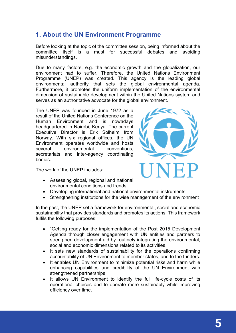## **1. About the UN Environment Programme**

Before looking at the topic of the committee session, being informed about the committee itself is a must for successful debates and avoiding misunderstandings.

Due to many factors, e.g. the economic growth and the globalization, our environment had to suffer. Therefore, the United Nations Environment Programme (UNEP) was created. This agency is the leading global environmental authority that sets the global environmental agenda. Furthermore, it promotes the uniform implementation of the environmental dimension of sustainable development within the United Nations system and serves as an authoritative advocate for the global environment.

The UNEP was founded in June 1972 as a result of the United Nations Conference on the Human Environment and is nowadays headquartered in Nairobi, Kenya. The current Executive Director is Erik Solheim from Norway. With six regional offices, the UN Environment operates worldwide and hosts several environmental conventions, secretariats and inter-agency coordinating bodies.



The work of the UNEP includes:

- Assessing global, regional and national environmental conditions and trends
- Developing international and national environmental instruments
- Strengthening institutions for the wise management of the environment

In the past, the UNEP set a framework for environmental, social and economic sustainability that provides standards and promotes its actions. This framework fulfils the following purposes:

- "Getting ready for the implementation of the Post 2015 Development Agenda through closer engagement with UN entities and partners to strengthen development aid by routinely integrating the environmental, social and economic dimensions related to its activities.
- It sets new standards of sustainability for the operations confirming accountability of UN Environment to member states, and to the funders.
- It enables UN Environment to minimize potential risks and harm while enhancing capabilities and credibility of the UN Environment with strengthened partnerships.
- It allows UN Environment to identify the full life-cycle costs of its operational choices and to operate more sustainably while improving efficiency over time.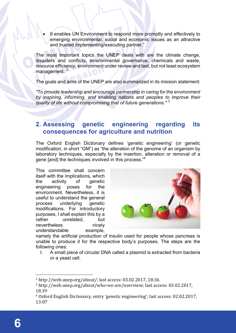It enables UN Environment to respond more promptly and effectively to emerging environmental, social and economic issues as an attractive and trusted implementing/executing partner."

The most important topics the UNEP deals with are the climate change, disasters and conflicts, environmental governance, chemicals and waste, resource efficiency, environment under review and last, but not least ecosystem management.<sup>2</sup>

The goals and aims of the UNEP are also summarized in its mission statement:

*"To provide leadership and encourage partnership in caring for the environment by inspiring, informing, and enabling nations and peoples to improve their quality of life without compromising that of future generations."* <sup>3</sup>

### **2. Assessing genetic engineering regarding its consequences for agriculture and nutrition**

The Oxford English Dictionary defines 'genetic engineering' (or genetic modification, in short "GM") as "the alteration of the genome of an organism by laboratory techniques, especially by the insertion, alteration or removal of a gene [and] the techniques involved in this process."<sup>4</sup>

This committee shall concern itself with the implications, which the activity of genetic engineering poses for the environment. Nevertheless, it is useful to understand the general process underlying genetic modifications. For introductory purposes, I shall explain this by a rather unrelated. but nevertheless nicely understandable example,



namely the artificial production of insulin used for people whose pancreas is unable to produce it for the respective body's purposes. The steps are the following ones:

I. A small piece of circular DNA called a plasmid is extracted from bacteria or a yeast cell.

 $\overline{a}$ 

 $2$  http://web.unep.org/about/; last access: 03.02.2017, 18:36

 $3$  http://web.unep.org/about/who-we-are/overview; last access:  $03.02.2017$ , 18.39

<sup>&</sup>lt;sup>4</sup> Oxford English Dictionary, entry 'genetic engineering'; last access: 02.02.2017, 13:07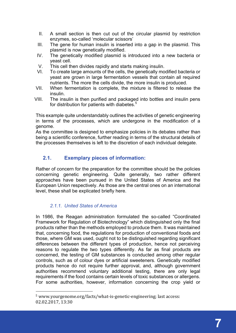- II. A small section is then cut out of the circular plasmid by restriction enzymes, so-called 'molecular scissors'
- III. The gene for human insulin is inserted into a gap in the plasmid. This plasmid is now genetically modified.
- IV. The genetically modified plasmid is introduced into a new bacteria or yeast cell.
- V. This cell then divides rapidly and starts making insulin.
- VI. To create large amounts of the cells, the genetically modified bacteria or yeast are grown in large fermentation vessels that contain all required nutrients. The more the cells divide, the more insulin is produced.
- VII. When fermentation is complete, the mixture is filtered to release the insulin.
- VIII. The insulin is then purified and packaged into bottles and insulin pens for distribution for patients with diabetes.<sup>5</sup>

This example quite understandably outlines the activities of genetic engineering in terms of the processes, which are undergone in the modification of a genome.

As the committee is designed to emphasize policies in its debates rather than being a scientific conference, further reading in terms of the structural details of the processes themselves is left to the discretion of each individual delegate.

#### **2.1. Exemplary pieces of information:**

Rather of concern for the preparation for the committee should be the policies concerning genetic engineering. Quite generally, two rather different approaches have been pursued in the United States of America and the European Union respectively. As those are the central ones on an international level, these shall be explicated briefly here.

#### *2.1.1. United States of America*

 $\overline{a}$ 

In 1986, the Reagan administration formulated the so-called "Coordinated Framework for Regulation of Biotechnology" which distinguished only the final products rather than the methods employed to produce them. It was maintained that, concerning food, the regulations for production of conventional foods and those, where GM was used, ought not to be distinguished regarding significant differences between the different types of production, hence not perceiving reasons to regulate the two types differently. As far as final products are concerned, the testing of GM substances is conducted among other regular controls, such as of colour dyes or artificial sweeteners. Genetically modified products hence do not require further approval, and, although government authorities recommend voluntary additional testing, there are only legal requirements if the food contains certain levels of toxic substances or allergens. For some authorities, however, information concerning the crop yield or

 $5$  www.yourgenome.org/facts/what-is-genetic-engineering; last access: 02.02.2017, 13:30